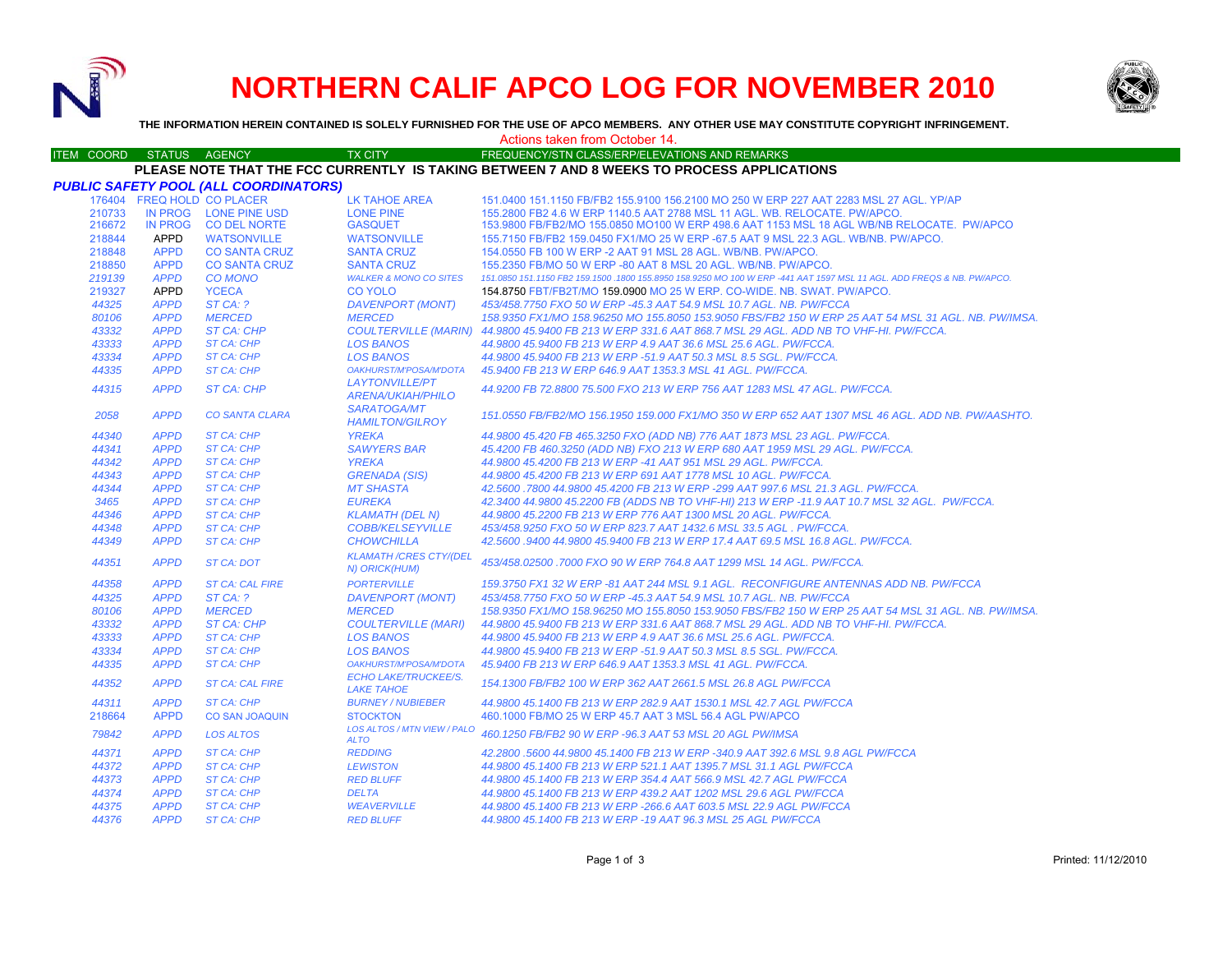

# **NORTHERN CALIF APCO LOG FOR NOVEMBER 2010**



**THE INFORMATION HEREIN CONTAINED IS SOLELY FURNISHED FOR THE USE OF APCO MEMBERS. ANY OTHER USE MAY CONSTITUTE COPYRIGHT INFRINGEMENT.**

## Actions taken from October 14.

### ITEM COORD STATUS AGENCY TX CITY FREQUENCY/STN CLASS/ERP/ELEVATIONS AND REMARKS **PLEASE NOTE THAT THE FCC CURRENTLY IS TAKING BETWEEN 7 AND 8 WEEKS TO PROCESS APPLICATIONS**

|        |                | <b>PUBLIC SAFETY POOL (ALL COORDINATORS)</b> |                                                   |                                                                                                                        |
|--------|----------------|----------------------------------------------|---------------------------------------------------|------------------------------------------------------------------------------------------------------------------------|
|        |                | 176404 FREQ HOLD CO PLACER                   | <b>LK TAHOE AREA</b>                              | 151.0400 151.1150 FB/FB2 155.9100 156.2100 MO 250 W ERP 227 AAT 2283 MSL 27 AGL. YP/AP                                 |
| 210733 |                | IN PROG LONE PINE USD                        | <b>LONE PINE</b>                                  | 155,2800 FB2 4.6 W ERP 1140.5 AAT 2788 MSL 11 AGL, WB, RELOCATE, PW/APCO,                                              |
| 216672 | <b>IN PROG</b> | <b>CO DEL NORTE</b>                          | <b>GASQUET</b>                                    | 153,9800 FB/FB2/MO 155,0850 MO100 W ERP 498.6 AAT 1153 MSL 18 AGL WB/NB RELOCATE. PW/APCO                              |
| 218844 | APPD           | <b>WATSONVILLE</b>                           | <b>WATSONVILLE</b>                                | 155.7150 FB/FB2 159.0450 FX1/MO 25 W ERP -67.5 AAT 9 MSL 22.3 AGL, WB/NB, PW/APCO,                                     |
| 218848 | <b>APPD</b>    | <b>CO SANTA CRUZ</b>                         | <b>SANTA CRUZ</b>                                 | 154,0550 FB 100 W ERP -2 AAT 91 MSL 28 AGL, WB/NB, PW/APCO,                                                            |
| 218850 | <b>APPD</b>    | <b>CO SANTA CRUZ</b>                         | <b>SANTA CRUZ</b>                                 | 155,2350 FB/MO 50 W ERP -80 AAT 8 MSL 20 AGL, WB/NB, PW/APCO,                                                          |
| 219139 | <b>APPD</b>    | <b>CO MONO</b>                               | <b>WALKER &amp; MONO CO SITES</b>                 | 151.0850 151.1150 FB2 159.1500 .1800 155.8950 158.9250 MO 100 W ERP -441 AAT 1597 MSL 11 AGL. ADD FREQS & NB. PW/APCO. |
| 219327 | <b>APPD</b>    | <b>YCECA</b>                                 | <b>CO YOLO</b>                                    | 154.8750 FBT/FB2T/MO 159.0900 MO 25 W ERP. CO-WIDE. NB. SWAT. PW/APCO.                                                 |
| 44325  | <b>APPD</b>    | ST CA: ?                                     | <b>DAVENPORT (MONT)</b>                           | 453/458.7750 FXO 50 W ERP -45.3 AAT 54.9 MSL 10.7 AGL. NB. PW/FCCA                                                     |
| 80106  | <b>APPD</b>    | <b>MERCED</b>                                | <b>MERCED</b>                                     | 158.9350 FX1/MO 158.96250 MO 155.8050 153.9050 FBS/FB2 150 W ERP 25 AAT 54 MSL 31 AGL. NB. PW/IMSA.                    |
| 43332  | <b>APPD</b>    | <b>ST CA: CHP</b>                            |                                                   | COULTERVILLE (MARIN) 44.9800 45.9400 FB 213 W ERP 331.6 AAT 868.7 MSL 29 AGL. ADD NB TO VHF-HI. PW/FCCA.               |
| 43333  | <b>APPD</b>    | <b>ST CA: CHP</b>                            | <b>LOS BANOS</b>                                  | 44.9800 45.9400 FB 213 W ERP 4.9 AAT 36.6 MSL 25.6 AGL, PW/FCCA.                                                       |
| 43334  | <b>APPD</b>    | <b>ST CA: CHP</b>                            | <b>LOS BANOS</b>                                  | 44,9800 45,9400 FB 213 W ERP -51.9 AAT 50.3 MSL 8.5 SGL, PW/FCCA.                                                      |
| 44335  | <b>APPD</b>    | <b>ST CA: CHP</b>                            | OAKHURST/M'POSA/M'DOTA                            | 45.9400 FB 213 W ERP 646.9 AAT 1353.3 MSL 41 AGL, PW/FCCA.                                                             |
| 44315  | <b>APPD</b>    | <b>ST CA: CHP</b>                            | <b>LAYTONVILLE/PT</b><br><b>ARENA/UKIAH/PHILO</b> | 44.9200 FB 72.8800 75.500 FXO 213 W ERP 756 AAT 1283 MSL 47 AGL. PW/FCCA.                                              |
| 2058   | <b>APPD</b>    | <b>CO SANTA CLARA</b>                        | <b>SARATOGA/MT</b><br><b>HAMILTON/GILROY</b>      | 151.0550 FB/FB2/MO 156.1950 159.000 FX1/MO 350 W ERP 652 AAT 1307 MSL 46 AGL. ADD NB. PW/AASHTO.                       |
| 44340  | <b>APPD</b>    | <b>ST CA: CHP</b>                            | <b>YREKA</b>                                      | 44.9800 45.420 FB 465.3250 FXO (ADD NB) 776 AAT 1873 MSL 23 AGL. PW/FCCA.                                              |
| 44341  | <b>APPD</b>    | <b>ST CA: CHP</b>                            | <b>SAWYERS BAR</b>                                | 45.4200 FB 460.3250 (ADD NB) FXO 213 W ERP 680 AAT 1959 MSL 29 AGL. PW/FCCA.                                           |
| 44342  | <b>APPD</b>    | <b>ST CA: CHP</b>                            | <b>YREKA</b>                                      | 44.9800 45.4200 FB 213 W ERP -41 AAT 951 MSL 29 AGL, PW/FCCA,                                                          |
| 44343  | <b>APPD</b>    | <b>ST CA: CHP</b>                            | <b>GRENADA (SIS)</b>                              | 44.9800 45.4200 FB 213 W ERP 691 AAT 1778 MSL 10 AGL. PW/FCCA.                                                         |
| 44344  | <b>APPD</b>    | <b>ST CA: CHP</b>                            | <b>MT SHASTA</b>                                  | 42.5600 .7800 44.9800 45.4200 FB 213 W ERP -299 AAT 997.6 MSL 21.3 AGL. PW/FCCA.                                       |
| 3465   | <b>APPD</b>    | <b>ST CA: CHP</b>                            | <b>EUREKA</b>                                     | 42.3400 44.9800 45.2200 FB (ADDS NB TO VHF-HI) 213 W ERP -11.9 AAT 10.7 MSL 32 AGL. PW/FCCA.                           |
| 44346  | <b>APPD</b>    | <b>ST CA: CHP</b>                            | <b>KLAMATH (DEL N)</b>                            | 44.9800 45.2200 FB 213 W ERP 776 AAT 1300 MSL 20 AGL. PW/FCCA.                                                         |
| 44348  | <b>APPD</b>    | <b>ST CA: CHP</b>                            | <b>COBB/KELSEYVILLE</b>                           | 453/458.9250 FXO 50 W ERP 823.7 AAT 1432.6 MSL 33.5 AGL, PW/FCCA.                                                      |
| 44349  | <b>APPD</b>    | <b>ST CA: CHP</b>                            | <b>CHOWCHILLA</b>                                 | 42.5600.9400 44.9800 45.9400 FB 213 W ERP 17.4 AAT 69.5 MSL 16.8 AGL. PW/FCCA.                                         |
| 44351  | <b>APPD</b>    | <b>ST CA: DOT</b>                            | <b>KLAMATH/CRES CTY/(DEL</b><br>N) ORICK(HUM)     | 453/458.02500,7000 FXO 90 W ERP 764.8 AAT 1299 MSL 14 AGL, PW/FCCA.                                                    |
| 44358  | <b>APPD</b>    | <b>ST CA: CAL FIRE</b>                       | <b>PORTERVILLE</b>                                | 159.3750 FX1 32 W ERP -81 AAT 244 MSL 9.1 AGL. RECONFIGURE ANTENNAS ADD NB. PW/FCCA                                    |
| 44325  | <b>APPD</b>    | STCA: ?                                      | <b>DAVENPORT (MONT)</b>                           | 453/458.7750 FXO 50 W ERP -45.3 AAT 54.9 MSL 10.7 AGL. NB. PW/FCCA                                                     |
| 80106  | <b>APPD</b>    | <b>MERCED</b>                                | <b>MERCED</b>                                     | 158.9350 FX1/MO 158.96250 MO 155.8050 153.9050 FBS/FB2 150 W ERP 25 AAT 54 MSL 31 AGL. NB. PW/IMSA.                    |
| 43332  | <b>APPD</b>    | ST CA: CHP                                   | <b>COULTERVILLE (MARI)</b>                        | 44.9800 45.9400 FB 213 W ERP 331.6 AAT 868.7 MSL 29 AGL, ADD NB TO VHF-HI, PW/FCCA.                                    |
| 43333  | <b>APPD</b>    | <b>ST CA: CHP</b>                            | <b>LOS BANOS</b>                                  | 44.9800 45.9400 FB 213 W ERP 4.9 AAT 36.6 MSL 25.6 AGL. PW/FCCA.                                                       |
| 43334  | <b>APPD</b>    | <b>ST CA: CHP</b>                            | <b>LOS BANOS</b>                                  | 44.9800 45.9400 FB 213 W ERP -51.9 AAT 50.3 MSL 8.5 SGL. PW/FCCA.                                                      |
| 44335  | <b>APPD</b>    | <b>ST CA: CHP</b>                            | OAKHURST/M'POSA/M'DOTA                            | 45.9400 FB 213 W ERP 646.9 AAT 1353.3 MSL 41 AGL, PW/FCCA.                                                             |
| 44352  | <b>APPD</b>    | <b>ST CA: CAL FIRE</b>                       | <b>ECHO LAKE/TRUCKEE/S.</b><br><b>LAKE TAHOE</b>  | 154.1300 FB/FB2 100 W ERP 362 AAT 2661.5 MSL 26.8 AGL PW/FCCA                                                          |
| 44311  | <b>APPD</b>    | <b>ST CA: CHP</b>                            | <b>BURNEY / NUBIEBER</b>                          | 44.9800 45.1400 FB 213 W ERP 282.9 AAT 1530.1 MSL 42.7 AGL PW/FCCA                                                     |
| 218664 | <b>APPD</b>    | <b>CO SAN JOAQUIN</b>                        | <b>STOCKTON</b>                                   | 460.1000 FB/MO 25 W ERP 45.7 AAT 3 MSL 56.4 AGL PW/APCO                                                                |
| 79842  | <b>APPD</b>    | <b>LOS ALTOS</b>                             | LOS ALTOS / MTN VIEW / PALO<br><b>ALTO</b>        | 460.1250 FB/FB2 90 W ERP -96.3 AAT 53 MSL 20 AGL PW/IMSA                                                               |
| 44371  | <b>APPD</b>    | <b>ST CA: CHP</b>                            | <b>REDDING</b>                                    | 42.2800 .5600 44.9800 45.1400 FB 213 W ERP -340.9 AAT 392.6 MSL 9.8 AGL PW/FCCA                                        |
| 44372  | <b>APPD</b>    | <b>ST CA: CHP</b>                            | <b>LEWISTON</b>                                   | 44.9800 45.1400 FB 213 W ERP 521.1 AAT 1395.7 MSL 31.1 AGL PW/FCCA                                                     |
| 44373  | <b>APPD</b>    | <b>ST CA: CHP</b>                            | <b>RED BLUFF</b>                                  | 44.9800 45.1400 FB 213 W ERP 354.4 AAT 566.9 MSL 42.7 AGL PW/FCCA                                                      |
| 44374  | <b>APPD</b>    | <b>ST CA: CHP</b>                            | <b>DELTA</b>                                      | 44.9800 45.1400 FB 213 W ERP 439.2 AAT 1202 MSL 29.6 AGL PW/FCCA                                                       |
| 44375  | <b>APPD</b>    | <b>ST CA: CHP</b>                            | <b>WEAVERVILLE</b>                                | 44.9800 45.1400 FB 213 W ERP -266.6 AAT 603.5 MSL 22.9 AGL PW/FCCA                                                     |
| 44376  | <b>APPD</b>    | <b>ST CA: CHP</b>                            | <b>RED BLUFF</b>                                  | 44.9800 45.1400 FB 213 W ERP -19 AAT 96.3 MSL 25 AGL PW/FCCA                                                           |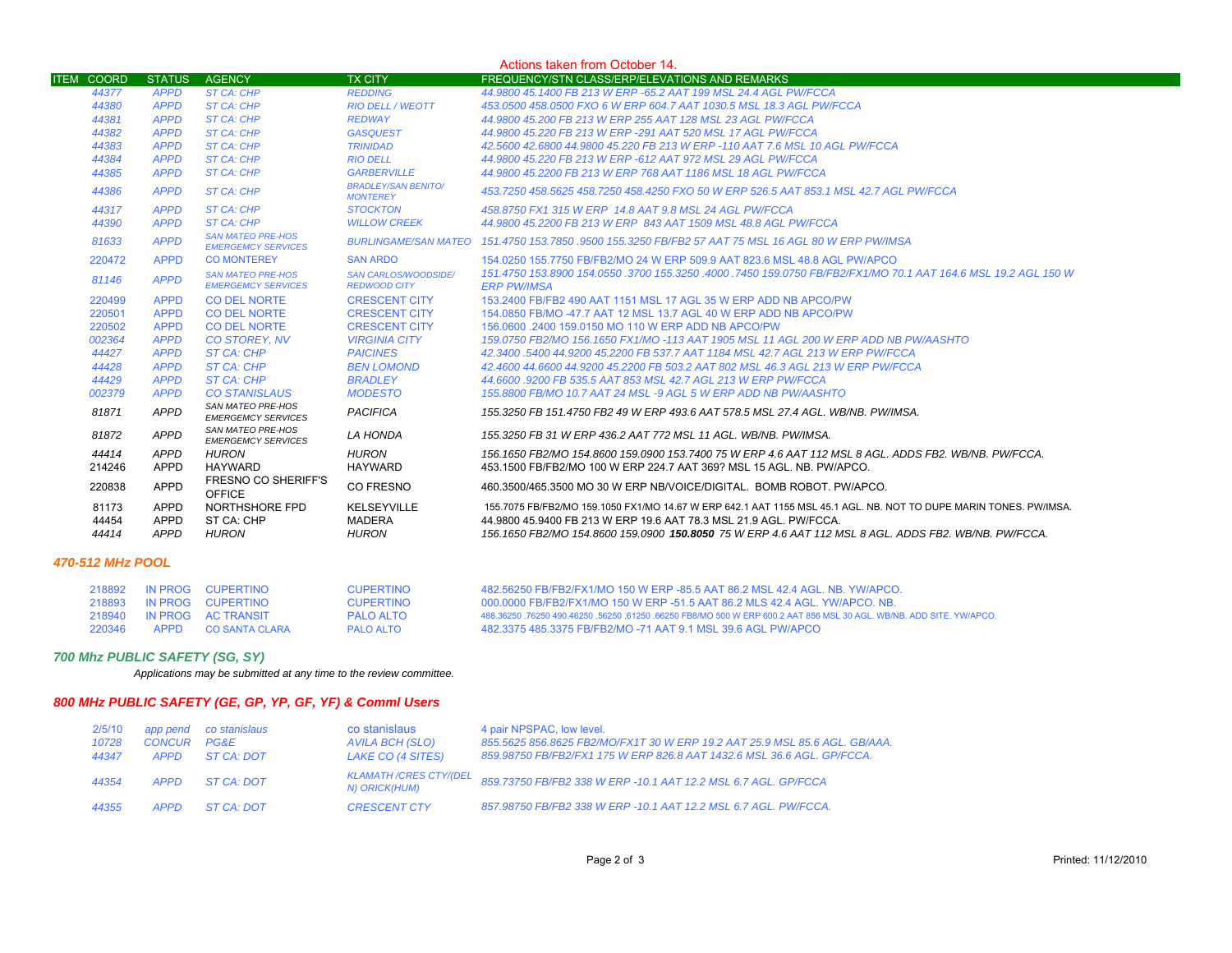| Actions taken from October 14. |               |                                                       |                                                    |                                                                                                                                      |
|--------------------------------|---------------|-------------------------------------------------------|----------------------------------------------------|--------------------------------------------------------------------------------------------------------------------------------------|
| <b>ITEM COORD</b>              | <b>STATUS</b> | <b>AGENCY</b>                                         | <b>TX CITY</b>                                     | FREQUENCY/STN CLASS/ERP/ELEVATIONS AND REMARKS                                                                                       |
| 44377                          | <b>APPD</b>   | <b>ST CA: CHP</b>                                     | <b>REDDING</b>                                     | 44.9800 45.1400 FB 213 W ERP -65.2 AAT 199 MSL 24.4 AGL PW/FCCA                                                                      |
| 44380                          | <b>APPD</b>   | <b>ST CA: CHP</b>                                     | <b>RIO DELL / WEOTT</b>                            | 453.0500 458.0500 FXO 6 W ERP 604.7 AAT 1030.5 MSL 18.3 AGL PW/FCCA                                                                  |
| 44381                          | <b>APPD</b>   | <b>ST CA: CHP</b>                                     | <b>REDWAY</b>                                      | 44,9800 45,200 FB 213 W ERP 255 AAT 128 MSL 23 AGL PW/FCCA                                                                           |
| 44382                          | <b>APPD</b>   | <b>ST CA: CHP</b>                                     | <b>GASQUEST</b>                                    | 44,9800 45,220 FB 213 W ERP -291 AAT 520 MSL 17 AGL PW/FCCA                                                                          |
| 44383                          | <b>APPD</b>   | <b>ST CA: CHP</b>                                     | <b>TRINIDAD</b>                                    | 42.5600 42.6800 44.9800 45.220 FB 213 W ERP -110 AAT 7.6 MSL 10 AGL PW/FCCA                                                          |
| 44384                          | <b>APPD</b>   | <b>ST CA: CHP</b>                                     | <b>RIO DELL</b>                                    | 44,9800 45,220 FB 213 W ERP -612 AAT 972 MSL 29 AGL PW/FCCA                                                                          |
| 44385                          | <b>APPD</b>   | ST CA: CHP                                            | <b>GARBERVILLE</b>                                 | 44,9800 45,2200 FB 213 W ERP 768 AAT 1186 MSL 18 AGL PW/FCCA                                                                         |
| 44386                          | <b>APPD</b>   | ST CA: CHP                                            | <b>BRADLEY/SAN BENITO/</b><br><b>MONTEREY</b>      | 453.7250 458.5625 458.7250 458.4250 FXO 50 W ERP 526.5 AAT 853.1 MSL 42.7 AGL PW/FCCA                                                |
| 44317                          | <b>APPD</b>   | ST CA: CHP                                            | <b>STOCKTON</b>                                    | 458.8750 FX1 315 W ERP 14.8 AAT 9.8 MSL 24 AGL PW/FCCA                                                                               |
| 44390                          | <b>APPD</b>   | ST CA: CHP                                            | <b>WILLOW CREEK</b>                                | 44.9800 45.2200 FB 213 W ERP 843 AAT 1509 MSL 48.8 AGL PW/FCCA                                                                       |
| 81633                          | <b>APPD</b>   | <b>SAN MATEO PRE-HOS</b><br><b>EMERGEMCY SERVICES</b> | <b>BURLINGAME/SAN MATEO</b>                        | 151.4750 153.7850 .9500 155.3250 FB/FB2 57 AAT 75 MSL 16 AGL 80 W ERP PW/IMSA                                                        |
| 220472                         | <b>APPD</b>   | <b>CO MONTEREY</b>                                    | <b>SAN ARDO</b>                                    | 154.0250 155.7750 FB/FB2/MO 24 W ERP 509.9 AAT 823.6 MSL 48.8 AGL PW/APCO                                                            |
| 81146                          | <b>APPD</b>   | <b>SAN MATEO PRE-HOS</b><br><b>EMERGEMCY SERVICES</b> | <b>SAN CARLOS/WOODSIDE/</b><br><b>REDWOOD CITY</b> | 151.4750 153.8900 154.0550 .3700 155.3250 .4000 .7450 159.0750 FB/FB2/FX1/MO 70.1 AAT 164.6 MSL 19.2 AGL 150 W<br><b>ERP PW/IMSA</b> |
| 220499                         | <b>APPD</b>   | <b>CO DEL NORTE</b>                                   | <b>CRESCENT CITY</b>                               | 153.2400 FB/FB2 490 AAT 1151 MSL 17 AGL 35 W ERP ADD NB APCO/PW                                                                      |
| 220501                         | <b>APPD</b>   | <b>CO DEL NORTE</b>                                   | <b>CRESCENT CITY</b>                               | 154,0850 FB/MO -47.7 AAT 12 MSL 13.7 AGL 40 W ERP ADD NB APCO/PW                                                                     |
| 220502                         | <b>APPD</b>   | <b>CO DEL NORTE</b>                                   | <b>CRESCENT CITY</b>                               | 156,0600 .2400 159,0150 MO 110 W ERP ADD NB APCO/PW                                                                                  |
| 002364                         | <b>APPD</b>   | <b>CO STOREY, NV</b>                                  | <b>VIRGINIA CITY</b>                               | 159,0750 FB2/MO 156,1650 FX1/MO -113 AAT 1905 MSL 11 AGL 200 W ERP ADD NB PW/AASHTO                                                  |
| 44427                          | <b>APPD</b>   | <b>ST CA: CHP</b>                                     | <b>PAICINES</b>                                    | 42.3400 .5400 44.9200 45.2200 FB 537.7 AAT 1184 MSL 42.7 AGL 213 W ERP PW/FCCA                                                       |
| 44428                          | <b>APPD</b>   | ST CA: CHP                                            | <b>BEN LOMOND</b>                                  | 42.4600 44.6600 44.9200 45.2200 FB 503.2 AAT 802 MSL 46.3 AGL 213 W ERP PW/FCCA                                                      |
| 44429                          | <b>APPD</b>   | <b>ST CA: CHP</b>                                     | <b>BRADLEY</b>                                     | 44.6600 .9200 FB 535.5 AAT 853 MSL 42.7 AGL 213 W ERP PW/FCCA                                                                        |
| 002379                         | <b>APPD</b>   | <b>CO STANISLAUS</b>                                  | <b>MODESTO</b>                                     | 155,8800 FB/MO 10.7 AAT 24 MSL -9 AGL 5 W ERP ADD NB PW/AASHTO                                                                       |
| 81871                          | <b>APPD</b>   | SAN MATEO PRE-HOS<br><b>EMERGEMCY SERVICES</b>        | <b>PACIFICA</b>                                    | 155.3250 FB 151.4750 FB2 49 W ERP 493.6 AAT 578.5 MSL 27.4 AGL, WB/NB, PW/IMSA,                                                      |
| 81872                          | <b>APPD</b>   | SAN MATEO PRE-HOS<br><b>EMERGEMCY SERVICES</b>        | LA HONDA                                           | 155,3250 FB 31 W ERP 436.2 AAT 772 MSL 11 AGL, WB/NB, PW/IMSA,                                                                       |
| 44414                          | APPD          | <b>HURON</b>                                          | <b>HURON</b>                                       | 156.1650 FB2/MO 154.8600 159.0900 153.7400 75 W ERP 4.6 AAT 112 MSL 8 AGL. ADDS FB2. WB/NB. PW/FCCA.                                 |
| 214246                         | APPD          | <b>HAYWARD</b>                                        | <b>HAYWARD</b>                                     | 453.1500 FB/FB2/MO 100 W ERP 224.7 AAT 369? MSL 15 AGL, NB, PW/APCO,                                                                 |
| 220838                         | APPD          | <b>FRESNO CO SHERIFF'S</b><br><b>OFFICE</b>           | CO FRESNO                                          | 460.3500/465.3500 MO 30 W ERP NB/VOICE/DIGITAL BOMB ROBOT PW/APCO.                                                                   |
| 81173                          | <b>APPD</b>   | NORTHSHORE FPD                                        | KELSEYVILLE                                        | 155.7075 FB/FB2/MO 159.1050 FX1/MO 14.67 W ERP 642.1 AAT 1155 MSL 45.1 AGL. NB. NOT TO DUPE MARIN TONES. PW/IMSA.                    |
| 44454                          | <b>APPD</b>   | ST CA: CHP                                            | <b>MADERA</b>                                      | 44.9800 45.9400 FB 213 W ERP 19.6 AAT 78.3 MSL 21.9 AGL, PW/FCCA.                                                                    |
| 44414                          | APPD          | <b>HURON</b>                                          | <b>HURON</b>                                       | 156.1650 FB2/MO 154.8600 159.0900 <b>150.8050</b> 75 W ERP 4.6 AAT 112 MSL 8 AGL. ADDS FB2. WB/NB. PW/FCCA.                          |
|                                |               |                                                       |                                                    |                                                                                                                                      |

### *470-512 MHz POOL*

| 218892 |             | IN PROG CUPERTINO         | CUPERTINO        | 482.56250 FB/FB2/FX1/MO 150 W ERP -85.5 AAT 86.2 MSL 42.4 AGL, NB, YW/APCO.                                         |
|--------|-------------|---------------------------|------------------|---------------------------------------------------------------------------------------------------------------------|
| 218893 |             | IN PROG CUPERTINO         | <b>CUPERTINO</b> | 000.0000 FB/FB2/FX1/MO 150 W ERP -51.5 AAT 86.2 MLS 42.4 AGL, YW/APCO, NB.                                          |
|        |             | 218940 IN PROG AC TRANSIT | PALO ALTO        | 488.36250 .76250 490.46250 .56250 .61250 .66250 FB8/MO 500 W ERP 600.2 AAT 856 MSL 30 AGL. WB/NB, ADD SITE, YW/APCO |
| 220346 | <b>APPD</b> | CO SANTA CLARA            | <b>PALO ALTO</b> | 482.3375 485.3375 FB/FB2/MO -71 AAT 9.1 MSL 39.6 AGL PW/APCO                                                        |

## *700 Mhz PUBLIC SAFETY (SG, SY)*

*Applications may be submitted at any time to the review committee.*

# *800 MHz PUBLIC SAFETY (GE, GP, YP, GF, YF) & Comml Users*

| 2/5/10<br>10728<br>44347 | CONCUR PG&E<br>APPD | app pend co stanislaus<br>ST CA: DOT | co stanislaus<br>AVILA BCH (SLO)<br>LAKE CO (4 SITES) | 4 pair NPSPAC, low level.<br>855.5625 856.8625 FB2/MO/FX1T 30 W ERP 19.2 AAT 25.9 MSL 85.6 AGL, GB/AAA,<br>859.98750 FB/FB2/FX1 175 W ERP 826.8 AAT 1432.6 MSL 36.6 AGL, GP/FCCA, |
|--------------------------|---------------------|--------------------------------------|-------------------------------------------------------|-----------------------------------------------------------------------------------------------------------------------------------------------------------------------------------|
| 44354                    | APPD                | ST CA: DOT                           | KLAMATH /CRES CTY/(DEL<br>N) ORICK(HUM)               | 859.73750 FB/FB2 338 W ERP -10.1 AAT 12.2 MSL 6.7 AGL. GP/FCCA                                                                                                                    |
| 44355                    | <b>APPD</b>         | ST CA: DOT                           | <b>CRESCENT CTY</b>                                   | 857.98750 FB/FB2 338 W ERP -10.1 AAT 12.2 MSL 6.7 AGL. PW/FCCA.                                                                                                                   |